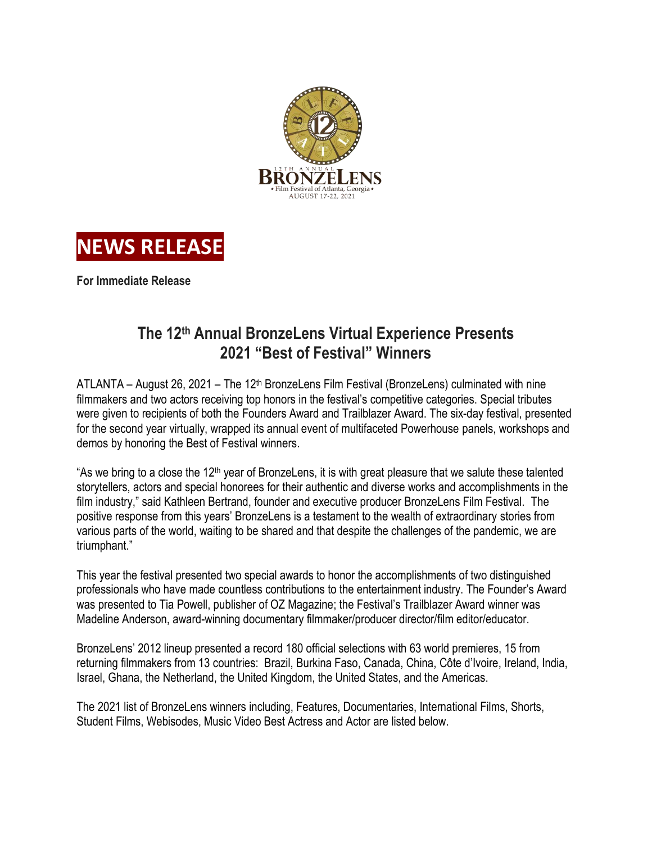



**For Immediate Release**

# **The 12th Annual BronzeLens Virtual Experience Presents 2021 "Best of Festival" Winners**

ATLANTA – August 26, 2021 – The 12<sup>th</sup> BronzeLens Film Festival (BronzeLens) culminated with nine filmmakers and two actors receiving top honors in the festival's competitive categories. Special tributes were given to recipients of both the Founders Award and Trailblazer Award. The six-day festival, presented for the second year virtually, wrapped its annual event of multifaceted Powerhouse panels, workshops and demos by honoring the Best of Festival winners.

"As we bring to a close the 12<sup>th</sup> year of BronzeLens, it is with great pleasure that we salute these talented storytellers, actors and special honorees for their authentic and diverse works and accomplishments in the film industry," said Kathleen Bertrand, founder and executive producer BronzeLens Film Festival. The positive response from this years' BronzeLens is a testament to the wealth of extraordinary stories from various parts of the world, waiting to be shared and that despite the challenges of the pandemic, we are triumphant."

This year the festival presented two special awards to honor the accomplishments of two distinguished professionals who have made countless contributions to the entertainment industry. The Founder's Award was presented to Tia Powell, publisher of OZ Magazine; the Festival's Trailblazer Award winner was Madeline Anderson, award-winning documentary filmmaker/producer director/film editor/educator.

BronzeLens' 2012 lineup presented a record 180 official selections with 63 world premieres, 15 from returning filmmakers from 13 countries: Brazil, Burkina Faso, Canada, China, Côte d'Ivoire, Ireland, India, Israel, Ghana, the Netherland, the United Kingdom, the United States, and the Americas.

The 2021 list of BronzeLens winners including, Features, Documentaries, International Films, Shorts, Student Films, Webisodes, Music Video Best Actress and Actor are listed below.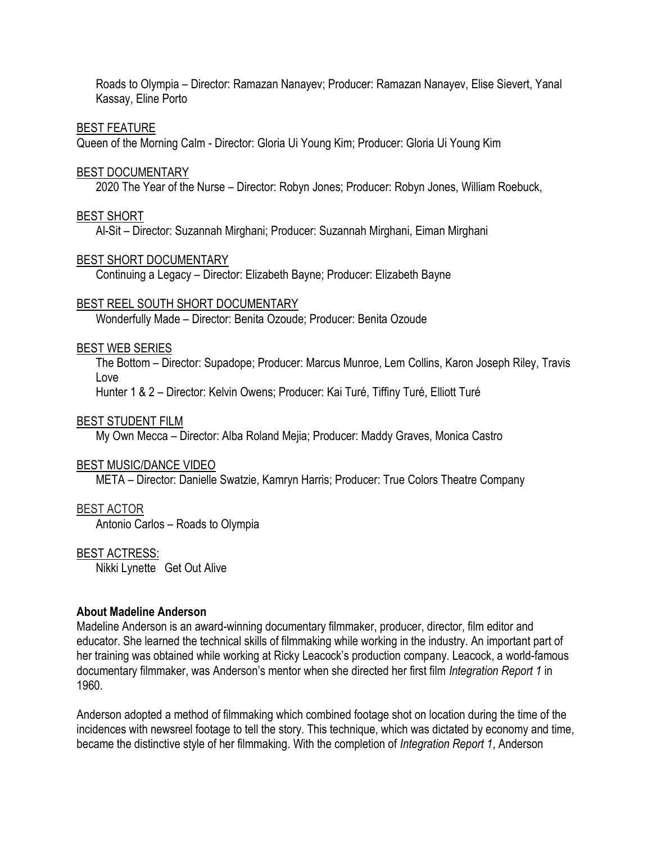Roads to Olympia – Director: Ramazan Nanayev; Producer: Ramazan Nanayev, Elise Sievert, Yanal Kassay, Eline Porto

## BEST FEATURE

Queen of the Morning Calm - Director: Gloria Ui Young Kim; Producer: Gloria Ui Young Kim

## BEST DOCUMENTARY

2020 The Year of the Nurse – Director: Robyn Jones; Producer: Robyn Jones, William Roebuck,

## BEST SHORT

Al-Sit – Director: Suzannah Mirghani; Producer: Suzannah Mirghani, Eiman Mirghani

## BEST SHORT DOCUMENTARY

Continuing a Legacy – Director: Elizabeth Bayne; Producer: Elizabeth Bayne

## BEST REEL SOUTH SHORT DOCUMENTARY

Wonderfully Made – Director: Benita Ozoude; Producer: Benita Ozoude

## BEST WEB SERIES

The Bottom – Director: Supadope; Producer: Marcus Munroe, Lem Collins, Karon Joseph Riley, Travis Love

Hunter 1 & 2 – Director: Kelvin Owens; Producer: Kai Turé, Tiffiny Turé, Elliott Turé

#### BEST STUDENT FILM

My Own Mecca – Director: Alba Roland Mejia; Producer: Maddy Graves, Monica Castro

#### BEST MUSIC/DANCE VIDEO

META – Director: Danielle Swatzie, Kamryn Harris; Producer: True Colors Theatre Company

# BEST ACTOR

Antonio Carlos – Roads to Olympia

#### BEST ACTRESS:

Nikki Lynette Get Out Alive

# **About Madeline Anderson**

Madeline Anderson is an award-winning documentary filmmaker, producer, director, film editor and educator. She learned the technical skills of filmmaking while working in the industry. An important part of her training was obtained while working at Ricky Leacock's production company. Leacock, a world-famous documentary filmmaker, was Anderson's mentor when she directed her first film *Integration Report 1* in 1960.

Anderson adopted a method of filmmaking which combined footage shot on location during the time of the incidences with newsreel footage to tell the story. This technique, which was dictated by economy and time, became the distinctive style of her filmmaking. With the completion of *Integration Report 1*, Anderson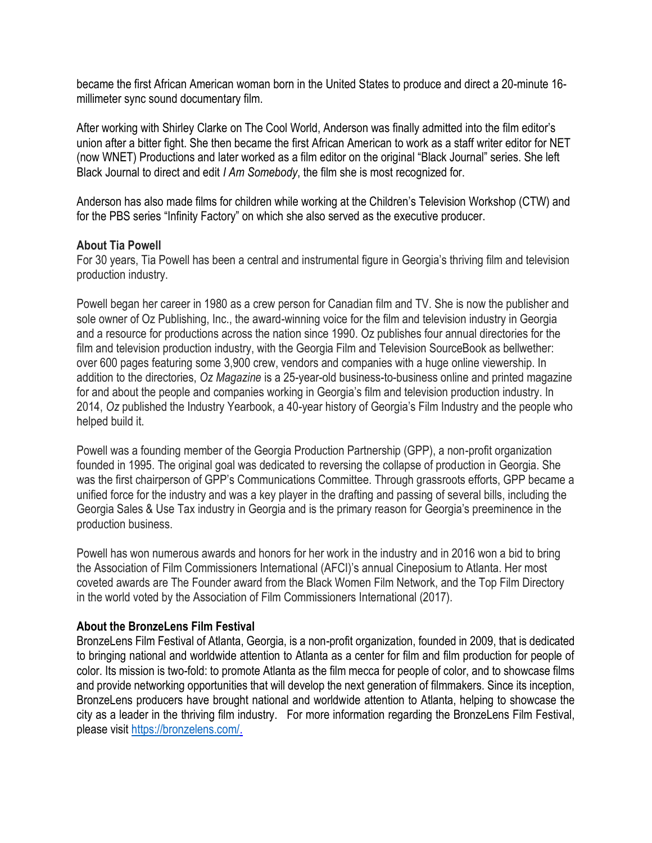became the first African American woman born in the United States to produce and direct a 20-minute 16 millimeter sync sound documentary film.

After working with Shirley Clarke on The Cool World, Anderson was finally admitted into the film editor's union after a bitter fight. She then became the first African American to work as a staff writer editor for NET (now WNET) Productions and later worked as a film editor on the original "Black Journal" series. She left Black Journal to direct and edit *I Am Somebody*, the film she is most recognized for.

Anderson has also made films for children while working at the Children's Television Workshop (CTW) and for the PBS series "Infinity Factory" on which she also served as the executive producer.

# **About Tia Powell**

For 30 years, Tia Powell has been a central and instrumental figure in Georgia's thriving film and television production industry.

Powell began her career in 1980 as a crew person for Canadian film and TV. She is now the publisher and sole owner of Oz Publishing, Inc., the award-winning voice for the film and television industry in Georgia and a resource for productions across the nation since 1990. Oz publishes four annual directories for the film and television production industry, with the Georgia Film and Television SourceBook as bellwether: over 600 pages featuring some 3,900 crew, vendors and companies with a huge online viewership. In addition to the directories, *Oz Magazine* is a 25-year-old business-to-business online and printed magazine for and about the people and companies working in Georgia's film and television production industry. In 2014, *Oz* published the Industry Yearbook, a 40-year history of Georgia's Film Industry and the people who helped build it.

Powell was a founding member of the Georgia Production Partnership (GPP), a non-profit organization founded in 1995. The original goal was dedicated to reversing the collapse of production in Georgia. She was the first chairperson of GPP's Communications Committee. Through grassroots efforts, GPP became a unified force for the industry and was a key player in the drafting and passing of several bills, including the Georgia Sales & Use Tax industry in Georgia and is the primary reason for Georgia's preeminence in the production business.

Powell has won numerous awards and honors for her work in the industry and in 2016 won a bid to bring the Association of Film Commissioners International (AFCI)'s annual Cineposium to Atlanta. Her most coveted awards are The Founder award from the Black Women Film Network, and the Top Film Directory in the world voted by the Association of Film Commissioners International (2017).

# **About the BronzeLens Film Festival**

BronzeLens Film Festival of Atlanta, Georgia, is a non-profit organization, founded in 2009, that is dedicated to bringing national and worldwide attention to Atlanta as a center for film and film production for people of color. Its mission is two-fold: to promote Atlanta as the film mecca for people of color, and to showcase films and provide networking opportunities that will develop the next generation of filmmakers. Since its inception, BronzeLens producers have brought national and worldwide attention to Atlanta, helping to showcase the city as a leader in the thriving film industry. For more information regarding the BronzeLens Film Festival, please visit [https://bronzelens.com/.](https://bronzelens.com/)